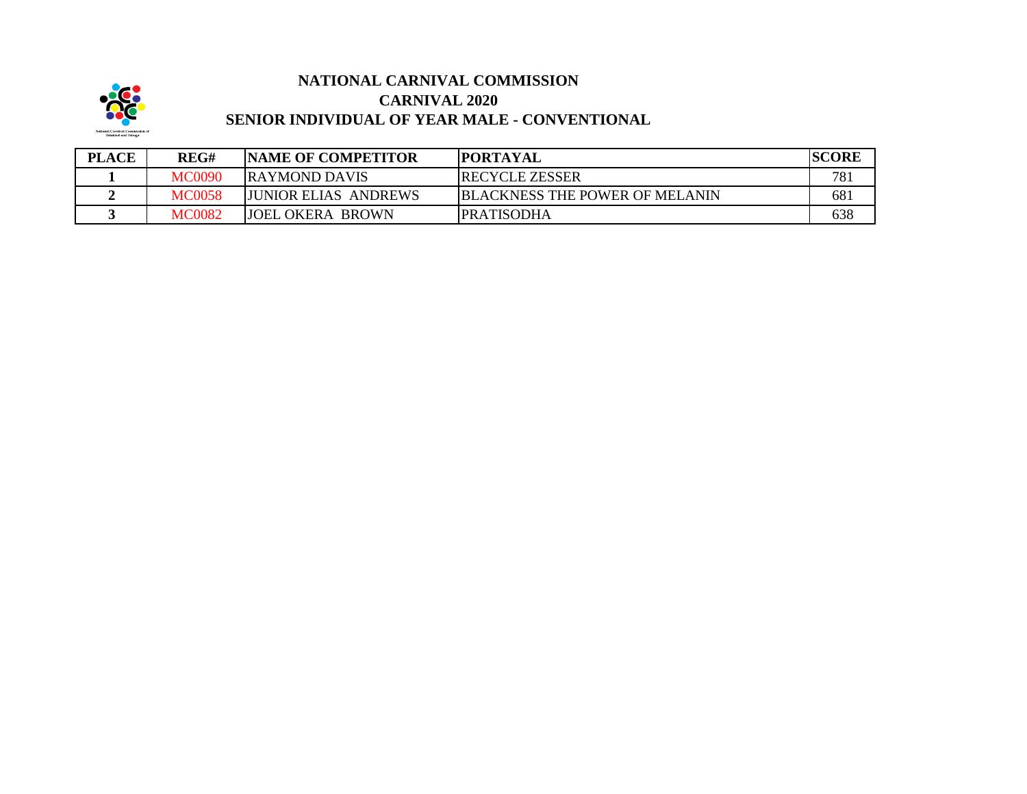

## **NATIONAL CARNIVAL COMMISSION CARNIVAL 2020 SENIOR INDIVIDUAL OF YEAR MALE - CONVENTIONAL**

| <b>PLACE</b> | REG#          | <b>NAME OF COMPETITOR</b>    | <b>IPORTAYAL</b>                      | <b>SCORE</b> |
|--------------|---------------|------------------------------|---------------------------------------|--------------|
|              | MC0090        | <b>IRAYMOND DAVIS</b>        | <b>RECYCLE ZESSER</b>                 | 781          |
|              | <b>MC0058</b> | <b>IJUNIOR ELIAS ANDREWS</b> | <b>BLACKNESS THE POWER OF MELANIN</b> | 681          |
|              | MC0082        | <b>JOEL OKERA BROWN</b>      | IPRATISODHA                           | 638          |